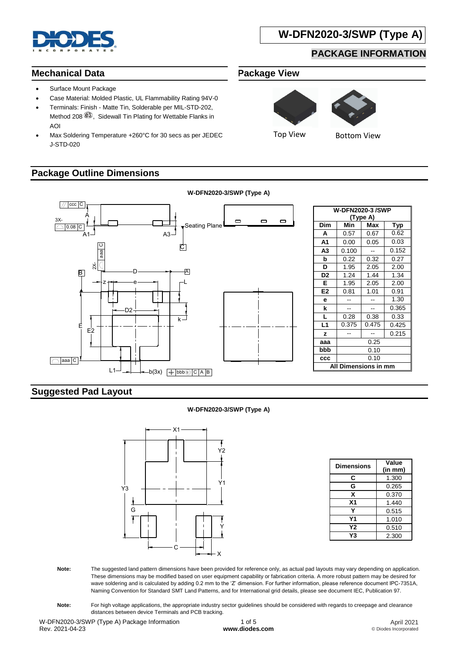

# **W-DFN2020-3/SWP (Type A)**

## **PACKAGE INFORMATION**

#### **Mechanical Data**

- Surface Mount Package
- Case Material: Molded Plastic, UL Flammability Rating 94V-0
- Terminals: Finish Matte Tin, Solderable per MIL-STD-202, Method 208 $(3)$ . Sidewall Tin Plating for Wettable Flanks in AOI
- Max Soldering Temperature +260°C for 30 secs as per JEDEC J-STD-020

### **Package Outline Dimensions**





Top View **Bottom View** 

**W-DFN2020-3/SWP (Type A)**  $\sqrt{C}$  ccc C **W-DFN2020-3 /SWP** A **(Type A)** 3X- $\Box$  $\Box$  $\Box$ Seating Plane **Dim Min Max Typ**  $0.08$   $C$ **A** 0.57 0.67 0.62  $A1 - A3 - A3$ **A1** 0.00 0.05 0.03 C  $\begin{array}{c|c|c|c} \hline \textbf{E} & \textbf{E} & \textbf{E} \\ \hline \textbf{E} & \textbf{E} & \textbf{E} \\ \hline \textbf{E} & \textbf{E} & \textbf{E} \\ \hline \textbf{E} & \textbf{E} & \textbf{E} \\ \hline \textbf{E} & \textbf{E} & \textbf{E} \\ \hline \textbf{E} & \textbf{E} & \textbf{E} \\ \hline \textbf{E} & \textbf{E} & \textbf{E} \\ \hline \textbf{E} & \textbf{E} & \textbf{E} \\ \hline \textbf{E} & \textbf{E$ **A3** 0.100 -- 0.152 **b** 0.22 0.32 0.27  $\begin{array}{|c|c|c|c|}\n\hline\n\text{A} & \text{B} & \text{C} & \text{A} \\
\hline\n\hline\n\text{A} & \text{B} & \text{C} & \text{A} \\
\hline\n\text{B} & \text{C} & \text{D} & \text{A} \\
\hline\n\text{C} & \text{D} & \text{A} & \text{B} \\
\hline\n\text{A} & \text{A} & \text{B} & \text{B} \\
\hline\n\text{C} & \text{A} & \text{B} & \text{B} \\
\hline\n\text{A} & \text{B} & \text{B} & \text{B} & \text{B$ **D** 1.95 2.05 2.00 B A D **D2** 1.24 1.44 1.34 ze L **E** 1.95 2.05 2.00 **E2** 0.81 1.01 0.91 **e** - - 1.30  $k$  -  $-$  0.365 D2 **L** 0.28 0.38 0.33 k **L1** 0.375 0.475 0.425 E  $F2$  $\mathsf{z}$   $\mathsf{z}$   $\mathsf{z}$   $\mathsf{z}$   $\mathsf{z}$   $\mathsf{z}$   $\mathsf{z}$   $\mathsf{z}$   $\mathsf{z}$  0.215 **aaa** 0.25 **bbb** 0.10 **ccc** 0.10 **All Dimensions in mm** L1  $-b(3x)$   $\boxed{\bigoplus \text{bbb}(\mathbb{Q}) \subset \bigcap A \bigcap B}$ 

### **Suggested Pad Layout**

#### **W-DFN2020-3/SWP (Type A)**



| <b>Dimensions</b> | Value<br>(in mm) |  |  |
|-------------------|------------------|--|--|
| С                 | 1.300            |  |  |
| G                 | 0.265            |  |  |
| x                 | 0.370            |  |  |
| X <sub>1</sub>    | 1.440            |  |  |
| Υ                 | 0.515            |  |  |
| Υ1                | 1.010            |  |  |
| Υ2                | 0.510            |  |  |
| Y3                | 2.300            |  |  |

- **Note:** The suggested land pattern dimensions have been provided for reference only, as actual pad layouts may vary depending on application. These dimensions may be modified based on user equipment capability or fabrication criteria. A more robust pattern may be desired for wave soldering and is calculated by adding 0.2 mm to the 'Z' dimension. For further information, please reference document IPC-7351A, Naming Convention for Standard SMT Land Patterns, and for International grid details, please see document IEC, Publication 97.
- Note: For high voltage applications, the appropriate industry sector guidelines should be considered with regards to creepage and clearance distances between device Terminals and PCB tracking.

W-DFN2020-3/SWP (Type A) Package Information Rev. 2021-04-23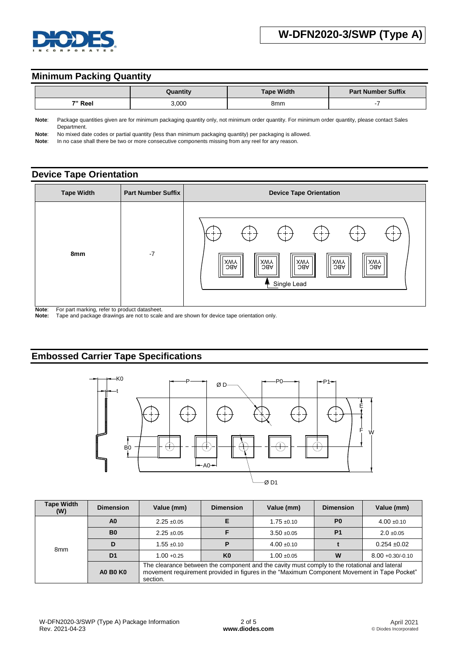

#### **Minimum Packing Quantity**

|         | Quantity | <b>Tape Width</b> | <b>Part Number Suffix</b> |  |
|---------|----------|-------------------|---------------------------|--|
| 7" Reel | 3,000    | 8mm               |                           |  |

**Note**: Package quantities given are for minimum packaging quantity only, not minimum order quantity. For minimum order quantity, please contact Sales Department.

**Note**: No mixed date codes or partial quantity (less than minimum packaging quantity) per packaging is allowed.

Note: In no case shall there be two or more consecutive components missing from any reel for any reason.

#### **Device Tape Orientation**



**Note:** For part marking, refer to product datasheet.<br>**Note:** Tape and package drawings are not to scale

**Note:** Tape and package drawings are not to scale and are shown for device tape orientation only.

### **Embossed Carrier Tape Specifications**



| <b>Tape Width</b><br>(W) | <b>Dimension</b> | Value (mm)                                                                                                                                                                                              | <b>Dimension</b> | Value (mm)      | <b>Dimension</b> | Value (mm)          |
|--------------------------|------------------|---------------------------------------------------------------------------------------------------------------------------------------------------------------------------------------------------------|------------------|-----------------|------------------|---------------------|
| 8 <sub>mm</sub>          | A <sub>0</sub>   | $2.25 \pm 0.05$                                                                                                                                                                                         |                  | $1.75 \pm 0.10$ | P <sub>0</sub>   | $4.00 \pm 0.10$     |
|                          | B <sub>0</sub>   | $2.25 \pm 0.05$                                                                                                                                                                                         |                  | $3.50 + 0.05$   | P <sub>1</sub>   | $2.0 \pm 0.05$      |
|                          |                  | $1.55 \pm 0.10$                                                                                                                                                                                         |                  | $4.00 \pm 0.10$ |                  | $0.254 + 0.02$      |
|                          | D <sub>1</sub>   | $1.00 + 0.25$                                                                                                                                                                                           | K <sub>0</sub>   | $1.00 + 0.05$   | W                | $8.00 + 0.30/-0.10$ |
|                          | <b>A0 B0 K0</b>  | The clearance between the component and the cavity must comply to the rotational and lateral<br>movement requirement provided in figures in the "Maximum Component Movement in Tape Pocket"<br>section. |                  |                 |                  |                     |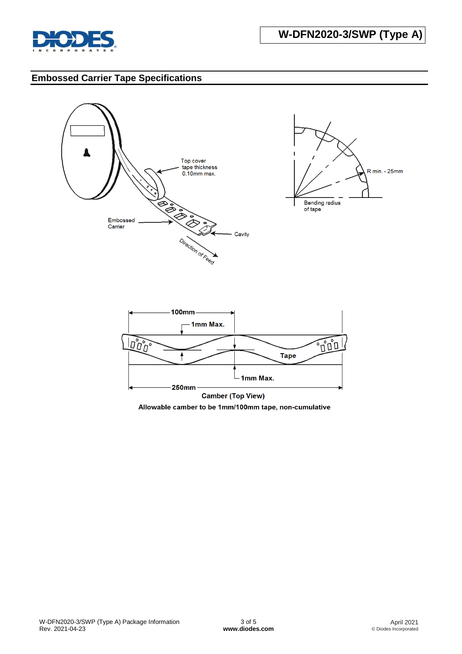

## **Embossed Carrier Tape Specifications**



Allowable camber to be 1mm/100mm tape, non-cumulative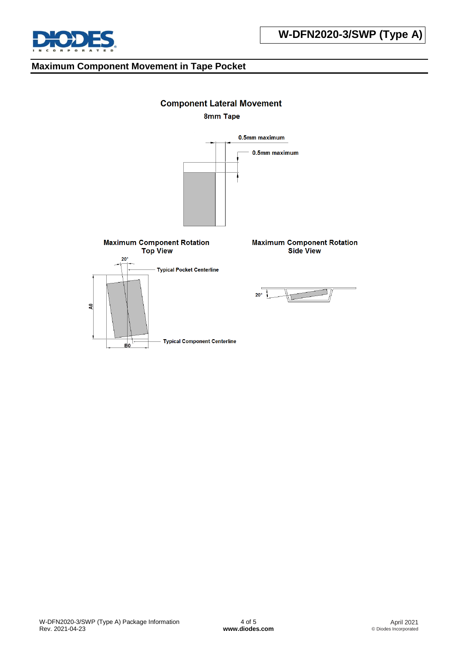

**U-DFN2020-8 (Type E)**

#### **Maximum Component Movement in Tape Pocket**